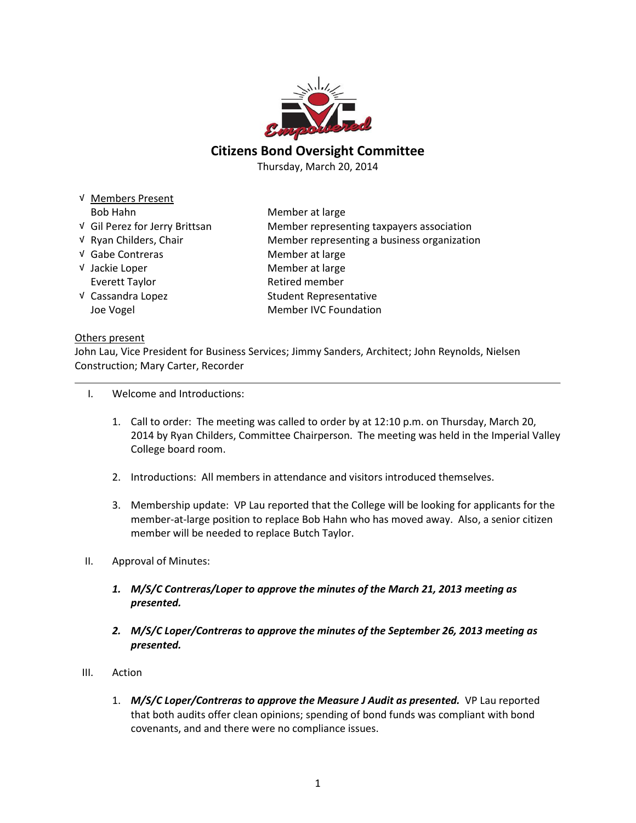

# Citizens Bond Oversight Committee

Thursday, March 20, 2014

| V Members Present              |                                             |
|--------------------------------|---------------------------------------------|
| Bob Hahn                       | Member at large                             |
| √ Gil Perez for Jerry Brittsan | Member representing taxpayers association   |
| √ Ryan Childers, Chair         | Member representing a business organization |
| √ Gabe Contreras               | Member at large                             |
| √ Jackie Loper                 | Member at large                             |
| Everett Taylor                 | Retired member                              |
| √ Cassandra Lopez              | <b>Student Representative</b>               |
| Joe Vogel                      | <b>Member IVC Foundation</b>                |
|                                |                                             |

#### Others present

John Lau, Vice President for Business Services; Jimmy Sanders, Architect; John Reynolds, Nielsen Construction; Mary Carter, Recorder

### I. Welcome and Introductions:

- 1. Call to order: The meeting was called to order by at 12:10 p.m. on Thursday, March 20, 2014 by Ryan Childers, Committee Chairperson. The meeting was held in the Imperial Valley College board room.
- 2. Introductions: All members in attendance and visitors introduced themselves.
- 3. Membership update: VP Lau reported that the College will be looking for applicants for the member-at-large position to replace Bob Hahn who has moved away. Also, a senior citizen member will be needed to replace Butch Taylor.
- II. Approval of Minutes:
	- 1. M/S/C Contreras/Loper to approve the minutes of the March 21, 2013 meeting as presented.
	- 2. M/S/C Loper/Contreras to approve the minutes of the September 26, 2013 meeting as presented.
- III. Action
	- 1. M/S/C Loper/Contreras to approve the Measure J Audit as presented. VP Lau reported that both audits offer clean opinions; spending of bond funds was compliant with bond covenants, and and there were no compliance issues.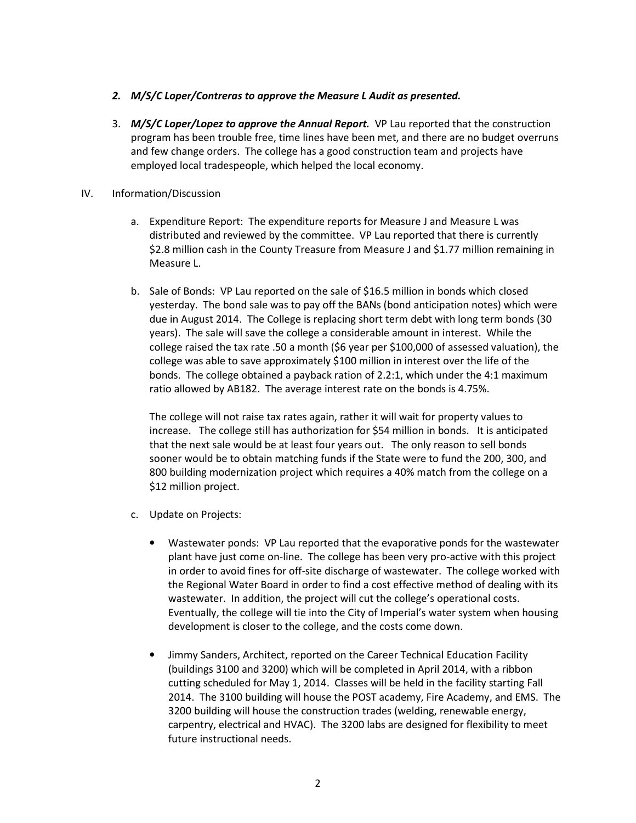## 2. M/S/C Loper/Contreras to approve the Measure L Audit as presented.

3. M/S/C Loper/Lopez to approve the Annual Report. VP Lau reported that the construction program has been trouble free, time lines have been met, and there are no budget overruns and few change orders. The college has a good construction team and projects have employed local tradespeople, which helped the local economy.

## IV. Information/Discussion

- a. Expenditure Report: The expenditure reports for Measure J and Measure L was distributed and reviewed by the committee. VP Lau reported that there is currently \$2.8 million cash in the County Treasure from Measure J and \$1.77 million remaining in Measure L.
- b. Sale of Bonds: VP Lau reported on the sale of \$16.5 million in bonds which closed yesterday. The bond sale was to pay off the BANs (bond anticipation notes) which were due in August 2014. The College is replacing short term debt with long term bonds (30 years). The sale will save the college a considerable amount in interest. While the college raised the tax rate .50 a month (\$6 year per \$100,000 of assessed valuation), the college was able to save approximately \$100 million in interest over the life of the bonds. The college obtained a payback ration of 2.2:1, which under the 4:1 maximum ratio allowed by AB182. The average interest rate on the bonds is 4.75%.

The college will not raise tax rates again, rather it will wait for property values to increase. The college still has authorization for \$54 million in bonds. It is anticipated that the next sale would be at least four years out. The only reason to sell bonds sooner would be to obtain matching funds if the State were to fund the 200, 300, and 800 building modernization project which requires a 40% match from the college on a \$12 million project.

- c. Update on Projects:
	- Wastewater ponds: VP Lau reported that the evaporative ponds for the wastewater plant have just come on-line. The college has been very pro-active with this project in order to avoid fines for off-site discharge of wastewater. The college worked with the Regional Water Board in order to find a cost effective method of dealing with its wastewater. In addition, the project will cut the college's operational costs. Eventually, the college will tie into the City of Imperial's water system when housing development is closer to the college, and the costs come down.
	- Jimmy Sanders, Architect, reported on the Career Technical Education Facility (buildings 3100 and 3200) which will be completed in April 2014, with a ribbon cutting scheduled for May 1, 2014. Classes will be held in the facility starting Fall 2014. The 3100 building will house the POST academy, Fire Academy, and EMS. The 3200 building will house the construction trades (welding, renewable energy, carpentry, electrical and HVAC). The 3200 labs are designed for flexibility to meet future instructional needs.